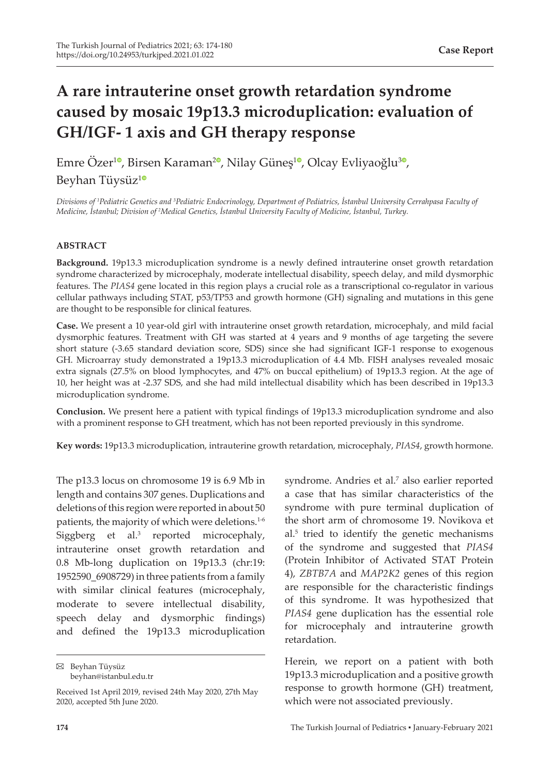# **A rare intrauterine onset growth retardation syndrome caused by mosaic 19p13.3 microduplication: evaluation of GH/IGF- 1 axis and GH therapy response**

Emre Özer<sup>10</sup>[,](https://orcid.org/0000-0003-4851-8637) Birsen Karaman<sup>[2](https://orcid.org/0000-0001-8640-0176)0</sup>, Nilay Güneş<sup>[1](https://orcid.org/0000-0002-7787-3630)0</sup>, Olcay Evliyaoğlu<sup>30</sup>, Beyhan Tüysüz[1](https://orcid.org/0000-0002-9620-5021)

*Divisions of <sup>1</sup> Pediatric Genetics and 3 Pediatric Endocrinology, Department of Pediatrics, İstanbul University Cerrahpasa Faculty of*  Medicine, Istanbul; Division of <sup>2</sup>Medical Genetics, Istanbul University Faculty of Medicine, Istanbul, Turkey.

## **ABSTRACT**

**Background.** 19p13.3 microduplication syndrome is a newly defined intrauterine onset growth retardation syndrome characterized by microcephaly, moderate intellectual disability, speech delay, and mild dysmorphic features. The *PIAS4* gene located in this region plays a crucial role as a transcriptional co-regulator in various cellular pathways including STAT, p53/TP53 and growth hormone (GH) signaling and mutations in this gene are thought to be responsible for clinical features.

**Case.** We present a 10 year-old girl with intrauterine onset growth retardation, microcephaly, and mild facial dysmorphic features. Treatment with GH was started at 4 years and 9 months of age targeting the severe short stature (-3.65 standard deviation score, SDS) since she had significant IGF-1 response to exogenous GH. Microarray study demonstrated a 19p13.3 microduplication of 4.4 Mb. FISH analyses revealed mosaic extra signals (27.5% on blood lymphocytes, and 47% on buccal epithelium) of 19p13.3 region. At the age of 10, her height was at -2.37 SDS, and she had mild intellectual disability which has been described in 19p13.3 microduplication syndrome.

**Conclusion.** We present here a patient with typical findings of 19p13.3 microduplication syndrome and also with a prominent response to GH treatment, which has not been reported previously in this syndrome.

**Key words:** 19p13.3 microduplication, intrauterine growth retardation, microcephaly, *PIAS4*, growth hormone.

The p13.3 locus on chromosome 19 is 6.9 Mb in length and contains 307 genes. Duplications and deletions of this region were reported in about 50 patients, the majority of which were deletions.<sup>1-6</sup> Siggberg et al.<sup>3</sup> reported microcephaly, intrauterine onset growth retardation and 0.8 Mb-long duplication on 19p13.3 (chr:19: 1952590\_6908729) in three patients from a family with similar clinical features (microcephaly, moderate to severe intellectual disability, speech delay and dysmorphic findings) and defined the 19p13.3 microduplication

Beyhan Tüysüz beyhan@istanbul.edu.tr

syndrome. Andries et al.<sup>7</sup> also earlier reported a case that has similar characteristics of the syndrome with pure terminal duplication of the short arm of chromosome 19. Novikova et al.<sup>5</sup> tried to identify the genetic mechanisms of the syndrome and suggested that *PIAS4* (Protein Inhibitor of Activated STAT Protein 4), *ZBTB7A* and *MAP2K2* genes of this region are responsible for the characteristic findings of this syndrome. It was hypothesized that *PIAS4* gene duplication has the essential role for microcephaly and intrauterine growth retardation.

Herein, we report on a patient with both 19p13.3 microduplication and a positive growth response to growth hormone (GH) treatment, which were not associated previously.

Received 1st April 2019, revised 24th May 2020, 27th May 2020, accepted 5th June 2020.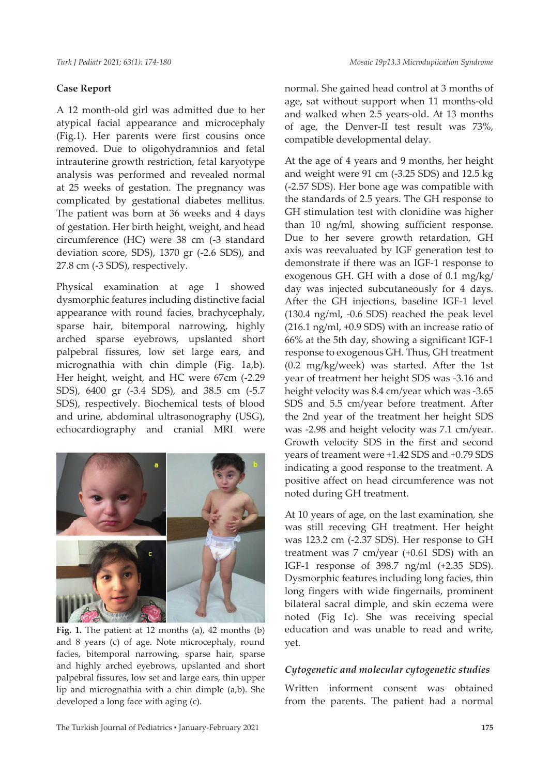# **Case Report**

A 12 month-old girl was admitted due to her atypical facial appearance and microcephaly (Fig.1). Her parents were first cousins once removed. Due to oligohydramnios and fetal intrauterine growth restriction, fetal karyotype analysis was performed and revealed normal at 25 weeks of gestation. The pregnancy was complicated by gestational diabetes mellitus. The patient was born at 36 weeks and 4 days of gestation. Her birth height, weight, and head circumference (HC) were 38 cm (-3 standard deviation score, SDS), 1370 gr (-2.6 SDS), and 27.8 cm (-3 SDS), respectively.

Physical examination at age 1 showed dysmorphic features including distinctive facial appearance with round facies, brachycephaly, sparse hair, bitemporal narrowing, highly arched sparse eyebrows, upslanted short palpebral fissures, low set large ears, and micrognathia with chin dimple (Fig. 1a,b). Her height, weight, and HC were 67cm (-2.29 SDS), 6400 gr (-3.4 SDS), and 38.5 cm (-5.7 SDS), respectively. Biochemical tests of blood and urine, abdominal ultrasonography (USG), echocardiography and cranial MRI were



**Fig. 1.** The patient at 12 months (a), 42 months (b) and 8 years (c) of age. Note microcephaly, round facies, bitemporal narrowing, sparse hair, sparse and highly arched eyebrows, upslanted and short palpebral fissures, low set and large ears, thin upper lip and micrognathia with a chin dimple (a,b). She developed a long face with aging (c).

normal. She gained head control at 3 months of age, sat without support when 11 months-old and walked when 2.5 years-old. At 13 months of age, the Denver-II test result was 73%, compatible developmental delay.

At the age of 4 years and 9 months, her height and weight were 91 cm (-3.25 SDS) and 12.5 kg (-2.57 SDS). Her bone age was compatible with the standards of 2.5 years. The GH response to GH stimulation test with clonidine was higher than 10 ng/ml, showing sufficient response. Due to her severe growth retardation, GH axis was reevaluated by IGF generation test to demonstrate if there was an IGF-1 response to exogenous GH. GH with a dose of 0.1 mg/kg/ day was injected subcutaneously for 4 days. After the GH injections, baseline IGF-1 level (130.4 ng/ml, -0.6 SDS) reached the peak level (216.1 ng/ml, +0.9 SDS) with an increase ratio of 66% at the 5th day, showing a significant IGF-1 response to exogenous GH. Thus, GH treatment (0.2 mg/kg/week) was started. After the 1st year of treatment her height SDS was -3.16 and height velocity was 8.4 cm/year which was -3.65 SDS and 5.5 cm/year before treatment. After the 2nd year of the treatment her height SDS was -2.98 and height velocity was 7.1 cm/year. Growth velocity SDS in the first and second years of treament were +1.42 SDS and +0.79 SDS indicating a good response to the treatment. A positive affect on head circumference was not noted during GH treatment.

At 10 years of age, on the last examination, she was still receving GH treatment. Her height was 123.2 cm (-2.37 SDS). Her response to GH treatment was 7 cm/year (+0.61 SDS) with an IGF-1 response of 398.7 ng/ml (+2.35 SDS). Dysmorphic features including long facies, thin long fingers with wide fingernails, prominent bilateral sacral dimple, and skin eczema were noted (Fig 1c). She was receiving special education and was unable to read and write, yet.

# *Cytogenetic and molecular cytogenetic studies*

Written informent consent was obtained from the parents. The patient had a normal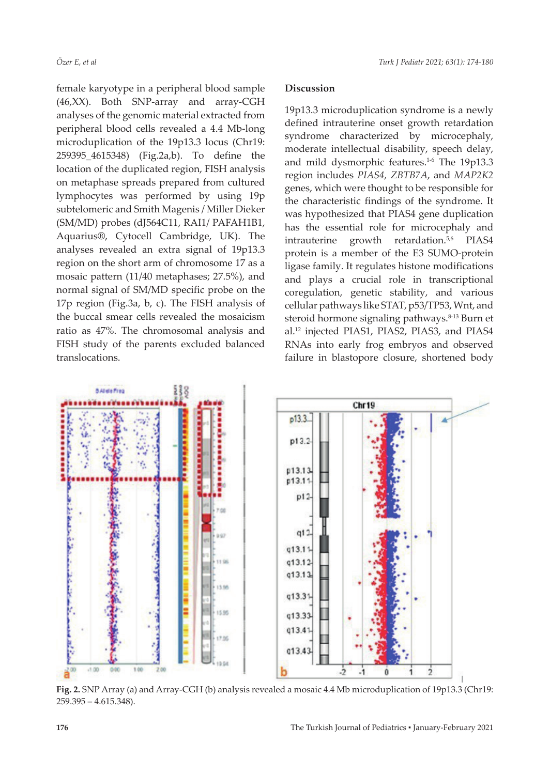female karyotype in a peripheral blood sample (46,XX). Both SNP-array and array-CGH analyses of the genomic material extracted from peripheral blood cells revealed a 4.4 Mb-long microduplication of the 19p13.3 locus (Chr19: 259395\_4615348) (Fig.2a,b). To define the location of the duplicated region, FISH analysis on metaphase spreads prepared from cultured lymphocytes was performed by using 19p subtelomeric and Smith Magenis / Miller Dieker (SM/MD) probes (dJ564C11, RAI1/ PAFAH1B1, Aquarius®, Cytocell Cambridge, UK). The analyses revealed an extra signal of 19p13.3 region on the short arm of chromosome 17 as a mosaic pattern (11/40 metaphases; 27.5%), and normal signal of SM/MD specific probe on the 17p region (Fig.3a, b, c). The FISH analysis of the buccal smear cells revealed the mosaicism ratio as 47%. The chromosomal analysis and FISH study of the parents excluded balanced translocations.

#### **Discussion**

19p13.3 microduplication syndrome is a newly defined intrauterine onset growth retardation syndrome characterized by microcephaly, moderate intellectual disability, speech delay, and mild dysmorphic features.<sup>1-6</sup> The 19p13.3 region includes *PIAS4, ZBTB7A*, and *MAP2K2* genes, which were thought to be responsible for the characteristic findings of the syndrome. It was hypothesized that PIAS4 gene duplication has the essential role for microcephaly and intrauterine growth retardation.<sup>5,6</sup> PIAS4 protein is a member of the E3 SUMO-protein ligase family. It regulates histone modifications and plays a crucial role in transcriptional coregulation, genetic stability, and various cellular pathways like STAT, p53/TP53, Wnt, and steroid hormone signaling pathways.<sup>8-13</sup> Burn et al.12 injected PIAS1, PIAS2, PIAS3, and PIAS4 RNAs into early frog embryos and observed failure in blastopore closure, shortened body



**Fig. 2.** SNP Array (a) and Array-CGH (b) analysis revealed a mosaic 4.4 Mb microduplication of 19p13.3 (Chr19: 259.395 – 4.615.348).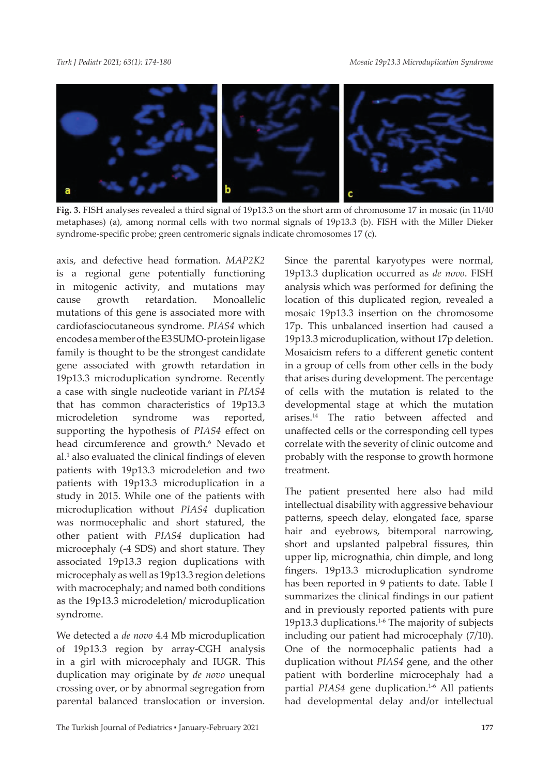

**Fig. 3.** FISH analyses revealed a third signal of 19p13.3 on the short arm of chromosome 17 in mosaic (in 11/40 metaphases) (a), among normal cells with two normal signals of 19p13.3 (b). FISH with the Miller Dieker syndrome-specific probe; green centromeric signals indicate chromosomes 17 (c).

axis, and defective head formation. *MAP2K2* is a regional gene potentially functioning in mitogenic activity, and mutations may cause growth retardation. Monoallelic mutations of this gene is associated more with cardiofasciocutaneous syndrome. *PIAS4* which encodes a member of the E3 SUMO-protein ligase family is thought to be the strongest candidate gene associated with growth retardation in 19p13.3 microduplication syndrome. Recently a case with single nucleotide variant in *PIAS4* that has common characteristics of 19p13.3 microdeletion syndrome was reported, supporting the hypothesis of *PIAS4* effect on head circumference and growth.<sup>6</sup> Nevado et al.<sup>1</sup> also evaluated the clinical findings of eleven patients with 19p13.3 microdeletion and two patients with 19p13.3 microduplication in a study in 2015. While one of the patients with microduplication without *PIAS4* duplication was normocephalic and short statured, the other patient with *PIAS4* duplication had microcephaly (-4 SDS) and short stature. They associated 19p13.3 region duplications with microcephaly as well as 19p13.3 region deletions with macrocephaly; and named both conditions as the 19p13.3 microdeletion/ microduplication syndrome.

We detected a *de novo* 4.4 Mb microduplication of 19p13.3 region by array-CGH analysis in a girl with microcephaly and IUGR. This duplication may originate by *de novo* unequal crossing over, or by abnormal segregation from parental balanced translocation or inversion. Since the parental karyotypes were normal, 19p13.3 duplication occurred as *de novo*. FISH analysis which was performed for defining the location of this duplicated region, revealed a mosaic 19p13.3 insertion on the chromosome 17p. This unbalanced insertion had caused a 19p13.3 microduplication, without 17p deletion. Mosaicism refers to a different genetic content in a group of cells from other cells in the body that arises during development. The percentage of cells with the mutation is related to the developmental stage at which the mutation arises.14 The ratio between affected and unaffected cells or the corresponding cell types correlate with the severity of clinic outcome and probably with the response to growth hormone treatment.

The patient presented here also had mild intellectual disability with aggressive behaviour patterns, speech delay, elongated face, sparse hair and eyebrows, bitemporal narrowing, short and upslanted palpebral fissures, thin upper lip, micrognathia, chin dimple, and long fingers. 19p13.3 microduplication syndrome has been reported in 9 patients to date. Table I summarizes the clinical findings in our patient and in previously reported patients with pure 19p13.3 duplications.1-6 The majority of subjects including our patient had microcephaly (7/10). One of the normocephalic patients had a duplication without *PIAS4* gene, and the other patient with borderline microcephaly had a partial *PIAS4* gene duplication.<sup>1-6</sup> All patients had developmental delay and/or intellectual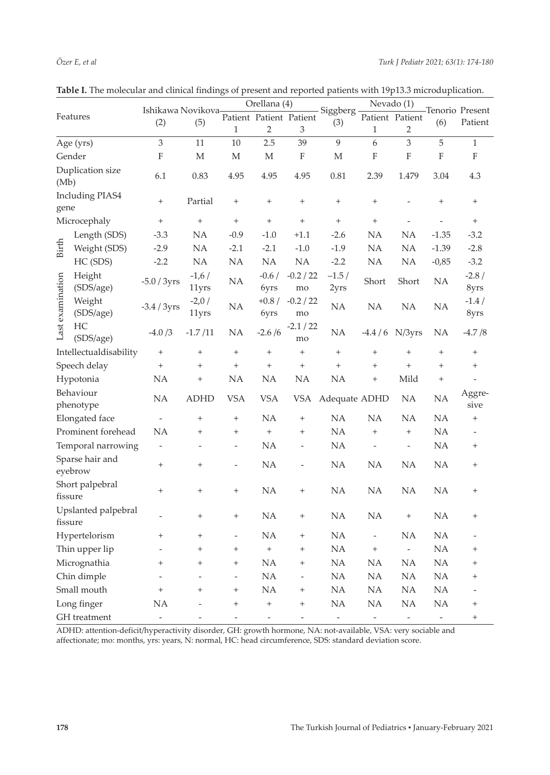|                                |                     |                                              |                          |                                  | Orellana (4)             |                                  |                          | Nevado (1)                |                                  | Tenorio Present   |                           |
|--------------------------------|---------------------|----------------------------------------------|--------------------------|----------------------------------|--------------------------|----------------------------------|--------------------------|---------------------------|----------------------------------|-------------------|---------------------------|
| Features                       |                     | Ishikawa Novikova<br>Patient Patient Patient |                          |                                  |                          |                                  | Siggberg                 |                           | Patient Patient                  |                   |                           |
|                                |                     |                                              |                          | $\mathbf{1}$                     | $\overline{2}$           | 3                                | (3)                      | $\mathbf{1}$              | $\overline{2}$                   | (6)               | Patient                   |
|                                | Age (yrs)           | 3                                            | 11                       | 10                               | 2.5                      | 39                               | $\overline{9}$           | 6                         | $\mathfrak 3$                    | 5                 | $\mathbf{1}$              |
| Gender                         |                     | $\boldsymbol{\mathrm{F}}$                    | $\mathbf M$              | М                                | М                        | $\boldsymbol{\mathrm{F}}$        | М                        | $\boldsymbol{\mathrm{F}}$ | $\mathbf F$                      | $\mathbf F$       | $\boldsymbol{\mathrm{F}}$ |
| Duplication size<br>(Mb)       |                     | 6.1                                          | 0.83                     | 4.95                             | 4.95                     | 4.95                             | 0.81                     | 2.39                      | 1.479                            | 3.04              | 4.3                       |
| <b>Including PIAS4</b><br>gene |                     | $\! + \!\!\!\!$                              | Partial                  | $\begin{array}{c} + \end{array}$ | $^{+}$                   | $\! + \!\!\!\!$                  | $\! + \!\!\!\!$          | $\! + \!\!\!\!$           |                                  | $\! + \!\!\!\!$   | $^{+}$                    |
| Microcephaly                   |                     | $\! + \!\!\!\!$                              | $\! + \!\!\!\!$          | $^{+}$                           | $\qquad \qquad +$        | $\! + \!\!\!\!$                  |                          | $\qquad \qquad +$         |                                  |                   | $^{+}$                    |
| <b>Birth</b>                   | Length (SDS)        | $-3.3$                                       | <b>NA</b>                | $-0.9$                           | $-1.0$                   | $+1.1$                           | $-2.6$                   | <b>NA</b>                 | <b>NA</b>                        | $-1.35$           | $-3.2$                    |
|                                | Weight (SDS)        | $-2.9$                                       | NA.                      | $-2.1$                           | $-2.1$                   | $-1.0$                           | $-1.9$                   | NA                        | NA                               | $-1.39$           | $-2.8$                    |
|                                | HC (SDS)            | $-2.2$                                       | <b>NA</b>                | <b>NA</b>                        | NA                       | NA                               | $-2.2$                   | NA                        | NA                               | $-0,85$           | $-3.2$                    |
| Last examination               | Height<br>(SDS/age) | $-5.0/3yrs$                                  | $-1,6/$<br>11yrs         | NA                               | $-0.6/$<br>6yrs          | $-0.2 / 22$<br>mo                | $-1.5/$<br>2yrs          | Short                     | Short                            | NA                | $-2.8/$<br>8yrs           |
|                                | Weight<br>(SDS/age) | $-3.4/3yrs$                                  | $-2,0/$<br>11yrs         | NA                               | $+0.8/$<br>6yrs          | $-0.2 / 22$<br>mo                | NA                       | NA                        | NA                               | NA                | $-1.4/$<br>8yrs           |
|                                | HC<br>(SDS/age)     | $-4.0/3$                                     | $-1.7/11$                | NA                               | $-2.6/6$                 | $-2.1/22$<br>mo                  | NA                       |                           | $-4.4/6$ N/3yrs                  | NA                | $-4.7/8$                  |
| Intellectualdisability         |                     | $^{+}$                                       | $\! + \!\!\!\!$          | $\qquad \qquad +$                | $^{+}$                   | $\qquad \qquad +$                | $\boldsymbol{+}$         | $^{+}$                    | $\! + \!$                        | $^{+}$            | $^{+}$                    |
| Speech delay                   |                     | $\qquad \qquad +$                            | $\! + \!\!\!\!$          | $\qquad \qquad +$                | $\qquad \qquad +$        | $\! + \!\!\!\!$                  | $\qquad \qquad +$        | $\! +$                    | $^{+}$                           | $\! + \!\!\!\!$   | $^{+}$                    |
| Hypotonia                      |                     | <b>NA</b>                                    | $\! + \!\!\!\!$          | <b>NA</b>                        | <b>NA</b>                | <b>NA</b>                        | NA                       | $\! +$                    | Mild                             | $\qquad \qquad +$ |                           |
| Behaviour<br>phenotype         |                     | NA                                           | <b>ADHD</b>              | <b>VSA</b>                       | <b>VSA</b>               |                                  | VSA Adequate ADHD        |                           | NA                               | NA                | Aggre-<br>sive            |
| Elongated face                 |                     | $\overline{\phantom{m}}$                     | $^{+}$                   | $^{+}$                           | <b>NA</b>                | $\! + \!\!\!\!$                  | NA                       | <b>NA</b>                 | <b>NA</b>                        | <b>NA</b>         | $^{+}$                    |
| Prominent forehead             |                     | NΑ                                           | $^{+}$                   | $^{+}$                           | $\qquad \qquad +$        | $^{+}$                           | NA                       | $^{+}$                    | $\begin{array}{c} + \end{array}$ | NA                |                           |
| Temporal narrowing             |                     | $\overline{\phantom{0}}$                     | $\overline{\phantom{0}}$ | $\overline{\phantom{a}}$         | NA                       | $\overline{\phantom{a}}$         | NA                       | $\overline{\phantom{0}}$  | $\bar{\phantom{a}}$              | NA                | $^{+}$                    |
| Sparse hair and<br>eyebrow     |                     | $^{+}$                                       | $\! + \!\!\!\!$          | $\overline{\phantom{0}}$         | NA                       | $\overline{\phantom{a}}$         | NA                       | NA                        | <b>NA</b>                        | NA                | $^{+}$                    |
| Short palpebral<br>fissure     |                     | $\! + \!\!\!\!$                              | $\! + \!\!\!\!$          | $^{+}$                           | NA                       | $^{+}$                           | NA                       | <b>NA</b>                 | NA                               | <b>NA</b>         | $^{+}$                    |
| Upslanted palpebral<br>fissure |                     |                                              | $\! + \!\!\!\!$          | $^{+}$                           | NA                       | $^{+}$                           | <b>NA</b>                | NA                        | $\! + \!\!\!\!$                  | <b>NA</b>         | $^{+}$                    |
| Hypertelorism                  |                     | $\! + \!\!\!\!$                              | $\! + \!\!\!\!$          |                                  | <b>NA</b>                | $\! + \!\!\!\!$                  | NA                       | $\overline{\phantom{0}}$  | <b>NA</b>                        | NA                |                           |
| Thin upper lip                 |                     |                                              |                          | $^+$                             | $^{+}$                   | $^{+}$                           | NA.                      | $^{+}$                    | $\overline{\phantom{0}}$         | NA                | $^{+}$                    |
| Micrognathia                   |                     | $\qquad \qquad +$                            | $^{+}$                   | $^{+}$                           | NA                       | $\begin{array}{c} + \end{array}$ | NA                       | NA                        | NA                               | NA                | $^{+}$                    |
| Chin dimple                    |                     |                                              |                          | $\overline{\phantom{a}}$         | NA                       | $\overline{\phantom{a}}$         | NA                       | NA                        | NA                               | NA                | $^{+}$                    |
| Small mouth                    |                     | $^{+}$                                       | $^{+}$                   | $^{+}$                           | $\rm NA$                 | $^{+}$                           | $\rm NA$                 | $\rm NA$                  | $\rm NA$                         | NA                |                           |
| Long finger                    |                     | NA                                           |                          | $^{+}$                           | $^+$                     | $\boldsymbol{+}$                 | NA                       | NA                        | NA                               | NA                | $^{+}$                    |
| GH treatment                   |                     | $\overline{\phantom{0}}$                     |                          |                                  | $\overline{\phantom{0}}$ |                                  | $\overline{\phantom{a}}$ | $\equiv$                  | $\sim$                           | $\equiv$          | $^{+}$                    |

| Table I. The molecular and clinical findings of present and reported patients with 19p13.3 microduplication. |  |  |  |
|--------------------------------------------------------------------------------------------------------------|--|--|--|
|--------------------------------------------------------------------------------------------------------------|--|--|--|

ADHD: attention-deficit/hyperactivity disorder, GH: growth hormone, NA: not-available, VSA: very sociable and affectionate; mo: months, yrs: years, N: normal, HC: head circumference, SDS: standard deviation score.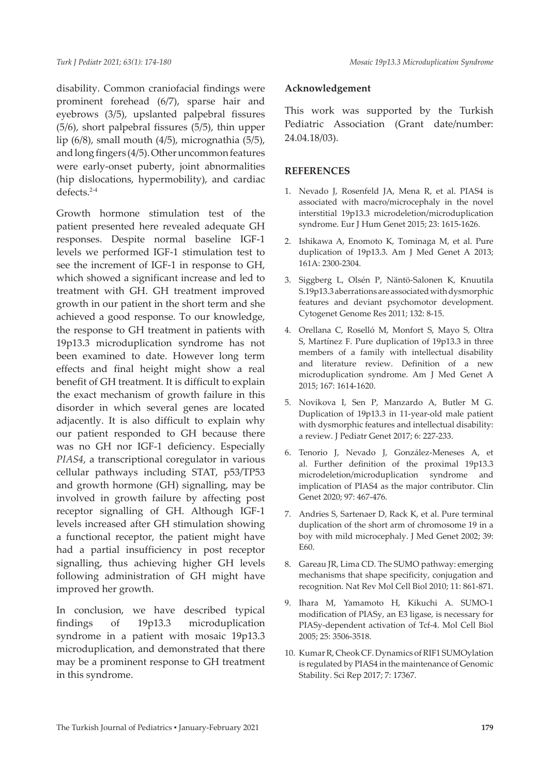disability. Common craniofacial findings were prominent forehead (6/7), sparse hair and eyebrows (3/5), upslanted palpebral fissures (5/6), short palpebral fissures (5/5), thin upper lip (6/8), small mouth (4/5), micrognathia (5/5), and long fingers (4/5). Other uncommon features were early-onset puberty, joint abnormalities (hip dislocations, hypermobility), and cardiac defects.2-4

Growth hormone stimulation test of the patient presented here revealed adequate GH responses. Despite normal baseline IGF-1 levels we performed IGF-1 stimulation test to see the increment of IGF-1 in response to GH, which showed a significant increase and led to treatment with GH. GH treatment improved growth in our patient in the short term and she achieved a good response. To our knowledge, the response to GH treatment in patients with 19p13.3 microduplication syndrome has not been examined to date. However long term effects and final height might show a real benefit of GH treatment. It is difficult to explain the exact mechanism of growth failure in this disorder in which several genes are located adjacently. It is also difficult to explain why our patient responded to GH because there was no GH nor IGF-1 deficiency. Especially *PIAS4*, a transcriptional coregulator in various cellular pathways including STAT, p53/TP53 and growth hormone (GH) signalling, may be involved in growth failure by affecting post receptor signalling of GH. Although IGF-1 levels increased after GH stimulation showing a functional receptor, the patient might have had a partial insufficiency in post receptor signalling, thus achieving higher GH levels following administration of GH might have improved her growth.

In conclusion, we have described typical findings of 19p13.3 microduplication syndrome in a patient with mosaic 19p13.3 microduplication, and demonstrated that there may be a prominent response to GH treatment in this syndrome.

#### **Acknowledgement**

This work was supported by the Turkish Pediatric Association (Grant date/number: 24.04.18/03).

### **REFERENCES**

- 1. Nevado J, Rosenfeld JA, Mena R, et al. PIAS4 is associated with macro/microcephaly in the novel interstitial 19p13.3 microdeletion/microduplication syndrome. Eur J Hum Genet 2015; 23: 1615-1626.
- 2. Ishikawa A, Enomoto K, Tominaga M, et al. Pure duplication of 19p13.3. Am J Med Genet A 2013; 161A: 2300-2304.
- 3. Siggberg L, Olsén P, Näntö-Salonen K, Knuutila S.19p13.3 aberrations are associated with dysmorphic features and deviant psychomotor development. Cytogenet Genome Res 2011; 132: 8-15.
- 4. Orellana C, Roselló M, Monfort S, Mayo S, Oltra S, Martínez F. Pure duplication of 19p13.3 in three members of a family with intellectual disability and literature review. Definition of a new microduplication syndrome. Am J Med Genet A 2015; 167: 1614-1620.
- 5. Novikova I, Sen P, Manzardo A, Butler M G. Duplication of 19p13.3 in 11-year-old male patient with dysmorphic features and intellectual disability: a review. J Pediatr Genet 2017; 6: 227-233.
- 6. Tenorio J, Nevado J, González-Meneses A, et al. Further definition of the proximal 19p13.3 microdeletion/microduplication syndrome and implication of PIAS4 as the major contributor. Clin Genet 2020; 97: 467-476.
- 7. Andries S, Sartenaer D, Rack K, et al. Pure terminal duplication of the short arm of chromosome 19 in a boy with mild microcephaly. J Med Genet 2002; 39: E60.
- 8. Gareau JR, Lima CD. The SUMO pathway: emerging mechanisms that shape specificity, conjugation and recognition. Nat Rev Mol Cell Biol 2010; 11: 861-871.
- 9. Ihara M, Yamamoto H, Kikuchi A. SUMO-1 modification of PIASy, an E3 ligase, is necessary for PIASy-dependent activation of Tcf-4. Mol Cell Biol 2005; 25: 3506-3518.
- 10. Kumar R, Cheok CF. Dynamics of RIF1 SUMOylation is regulated by PIAS4 in the maintenance of Genomic Stability. Sci Rep 2017; 7: 17367.